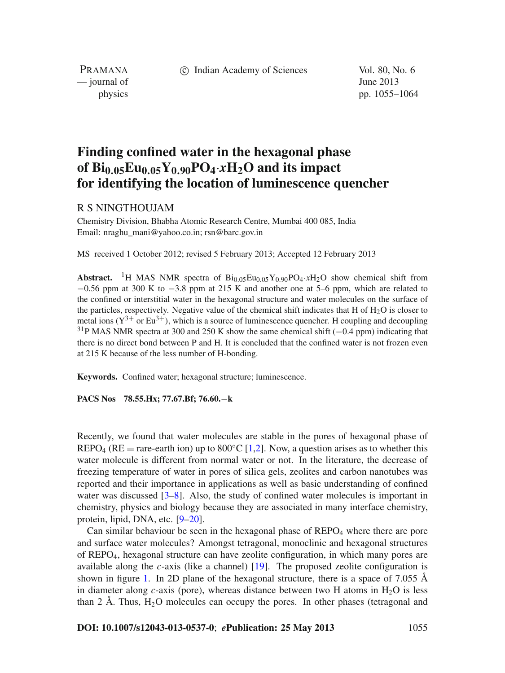c Indian Academy of Sciences Vol. 80, No. 6

PRAMANA — journal of June 2013

physics pp. 1055–1064

# **Finding confined water in the hexagonal phase** of  $\text{Bi}_{0.05}\text{Eu}_{0.05}\text{Y}_{0.90}\text{PO}_4 \cdot x\text{H}_2\text{O}$  and its impact **for identifying the location of luminescence quencher**

## R S NINGTHOUJAM

Chemistry Division, Bhabha Atomic Research Centre, Mumbai 400 085, India Email: nraghu\_mani@yahoo.co.in; rsn@barc.gov.in

MS received 1 October 2012; revised 5 February 2013; Accepted 12 February 2013

**Abstract.** <sup>1</sup>H MAS NMR spectra of  $Bi_{0.05}Eu_{0.05}Y_{0.90}PO_4 \cdot xH_2O$  show chemical shift from  $-0.56$  ppm at 300 K to  $-3.8$  ppm at 215 K and another one at 5–6 ppm, which are related to the confined or interstitial water in the hexagonal structure and water molecules on the surface of the particles, respectively. Negative value of the chemical shift indicates that H of  $H_2O$  is closer to metal ions  $(Y^{3+}$  or Eu<sup>3+</sup>), which is a source of luminescence quencher. H coupling and decoupling <sup>31</sup>P MAS NMR spectra at 300 and 250 K show the same chemical shift  $(-0.4$  ppm) indicating that there is no direct bond between P and H. It is concluded that the confined water is not frozen even at 215 K because of the less number of H-bonding.

**Keywords.** Confined water; hexagonal structure; luminescence.

**PACS Nos 78.55.Hx; 77.67.Bf; 76.60.**−**k**

Recently, we found that water molecules are stable in the pores of hexagonal phase of REPO<sub>4</sub> (RE = rare-earth ion) up to  $800\degree C$  [\[1](#page-9-0)[,2](#page-9-1)]. Now, a question arises as to whether this water molecule is different from normal water or not. In the literature, the decrease of freezing temperature of water in pores of silica gels, zeolites and carbon nanotubes was reported and their importance in applications as well as basic understanding of confined water was discussed  $[3-8]$  $[3-8]$ . Also, the study of confined water molecules is important in chemistry, physics and biology because they are associated in many interface chemistry, protein, lipid, DNA, etc. [\[9](#page-9-4)[–20](#page-9-5)].

Can similar behaviour be seen in the hexagonal phase of  $REPO<sub>4</sub>$  where there are pore and surface water molecules? Amongst tetragonal, monoclinic and hexagonal structures of REPO4, hexagonal structure can have zeolite configuration, in which many pores are available along the *c*-axis (like a channel) [\[19](#page-9-6)]. The proposed zeolite configuration is shown in figure [1.](#page-1-0) In 2D plane of the hexagonal structure, there is a space of 7.055 Å in diameter along  $c$ -axis (pore), whereas distance between two H atoms in  $H_2O$  is less than 2 Å. Thus,  $H_2O$  molecules can occupy the pores. In other phases (tetragonal and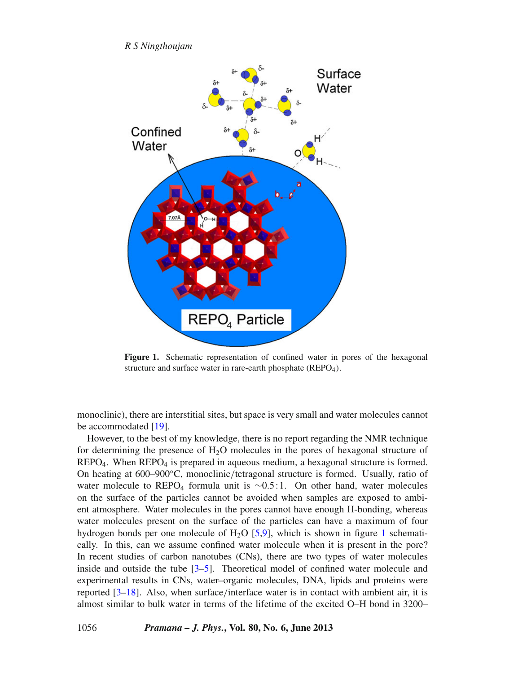*R S Ningthoujam*

<span id="page-1-0"></span>

**Figure 1.** Schematic representation of confined water in pores of the hexagonal structure and surface water in rare-earth phosphate  $(REPO<sub>4</sub>)$ .

monoclinic), there are interstitial sites, but space is very small and water molecules cannot be accommodated [\[19\]](#page-9-6).

However, to the best of my knowledge, there is no report regarding the NMR technique for determining the presence of  $H_2O$  molecules in the pores of hexagonal structure of  $REPO<sub>4</sub>$ . When  $REPO<sub>4</sub>$  is prepared in aqueous medium, a hexagonal structure is formed. On heating at 600–900◦C, monoclinic/tetragonal structure is formed. Usually, ratio of water molecule to REPO<sub>4</sub> formula unit is  $\sim$ 0.5:1. On other hand, water molecules on the surface of the particles cannot be avoided when samples are exposed to ambient atmosphere. Water molecules in the pores cannot have enough H-bonding, whereas water molecules present on the surface of the particles can have a maximum of four hydrogen bonds per one molecule of  $H<sub>2</sub>O$  [\[5](#page-9-7)[,9](#page-9-4)], which is shown in figure [1](#page-1-0) schematically. In this, can we assume confined water molecule when it is present in the pore? In recent studies of carbon nanotubes (CNs), there are two types of water molecules inside and outside the tube [\[3](#page-9-2)[–5](#page-9-7)]. Theoretical model of confined water molecule and experimental results in CNs, water–organic molecules, DNA, lipids and proteins were reported [\[3](#page-9-2)[–18](#page-9-8)]. Also, when surface/interface water is in contact with ambient air, it is almost similar to bulk water in terms of the lifetime of the excited O–H bond in 3200–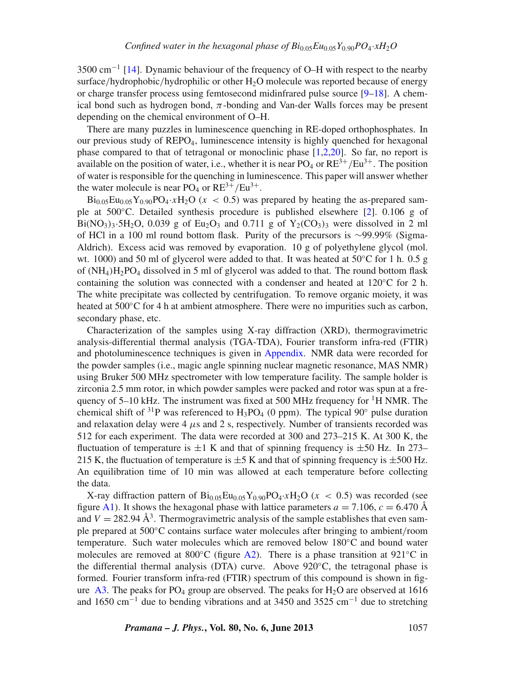$3500 \text{ cm}^{-1}$  [\[14\]](#page-9-9). Dynamic behaviour of the frequency of O–H with respect to the nearby surface/hydrophobic/hydrophilic or other  $H_2O$  molecule was reported because of energy or charge transfer process using femtosecond midinfrared pulse source  $[9-18]$  $[9-18]$ . A chemical bond such as hydrogen bond,  $\pi$ -bonding and Van-der Walls forces may be present depending on the chemical environment of O–H.

There are many puzzles in luminescence quenching in RE-doped orthophosphates. In our previous study of  $REPO<sub>4</sub>$ , luminescence intensity is highly quenched for hexagonal phase compared to that of tetragonal or monoclinic phase [\[1](#page-9-0)[,2](#page-9-1)[,20\]](#page-9-5). So far, no report is available on the position of water, i.e., whether it is near  $PO_4$  or  $RE^{3+}/Eu^{3+}$ . The position of water is responsible for the quenching in luminescence. This paper will answer whether the water molecule is near  $PO_4$  or  $RE^{3+}/Eu^{3+}$ .

 $Bi_{0.05}Eu_{0.05}Y_{0.90}PO_{4} \tcdot xH_{2}O (x < 0.5)$  was prepared by heating the as-prepared sample at 500◦C. Detailed synthesis procedure is published elsewhere [\[2](#page-9-1)]. 0.106 g of  $Bi(NO_3)$ <sub>3</sub>.5H<sub>2</sub>O, 0.039 g of Eu<sub>2</sub>O<sub>3</sub> and 0.711 g of  $Y_2(CO_3)$ <sub>3</sub> were dissolved in 2 ml of HCl in a 100 ml round bottom flask. Purity of the precursors is ∼99.99% (Sigma-Aldrich). Excess acid was removed by evaporation. 10 g of polyethylene glycol (mol. wt. 1000) and 50 ml of glycerol were added to that. It was heated at  $50^{\circ}$ C for 1 h. 0.5 g of  $(NH_4)H_2PO_4$  dissolved in 5 ml of glycerol was added to that. The round bottom flask containing the solution was connected with a condenser and heated at 120◦C for 2 h. The white precipitate was collected by centrifugation. To remove organic moiety, it was heated at 500◦C for 4 h at ambient atmosphere. There were no impurities such as carbon, secondary phase, etc.

Characterization of the samples using X-ray diffraction (XRD), thermogravimetric analysis-differential thermal analysis (TGA-TDA), Fourier transform infra-red (FTIR) and photoluminescence techniques is given in [Appendix.](#page-9-10) NMR data were recorded for the powder samples (i.e., magic angle spinning nuclear magnetic resonance, MAS NMR) using Bruker 500 MHz spectrometer with low temperature facility. The sample holder is zirconia 2.5 mm rotor, in which powder samples were packed and rotor was spun at a frequency of  $5-10$  kHz. The instrument was fixed at  $500$  MHz frequency for <sup>1</sup>H NMR. The chemical shift of <sup>31</sup>P was referenced to H<sub>3</sub>PO<sub>4</sub> (0 ppm). The typical 90<sup>°</sup> pulse duration and relaxation delay were 4  $\mu$ s and 2 s, respectively. Number of transients recorded was 512 for each experiment. The data were recorded at 300 and 273–215 K. At 300 K, the fluctuation of temperature is  $\pm 1$  K and that of spinning frequency is  $\pm 50$  Hz. In 273– 215 K, the fluctuation of temperature is  $\pm$  5 K and that of spinning frequency is  $\pm$  500 Hz. An equilibration time of 10 min was allowed at each temperature before collecting the data.

X-ray diffraction pattern of  $Bi_{0.05}Eu_{0.05}Y_{0.90}PO_4 \cdot xH_2O$  ( $x < 0.5$ ) was recorded (see figure [A1\)](#page-6-0). It shows the hexagonal phase with lattice parameters  $a = 7.106$ ,  $c = 6.470$  Å and  $V = 282.94 \text{ Å}^3$ . Thermogravimetric analysis of the sample establishes that even sample prepared at 500◦C contains surface water molecules after bringing to ambient/room temperature. Such water molecules which are removed below 180◦C and bound water molecules are removed at 800<sup>°</sup>C (figure [A2\)](#page-6-1). There is a phase transition at 921<sup>°</sup>C in the differential thermal analysis (DTA) curve. Above  $920^{\circ}$ C, the tetragonal phase is formed. Fourier transform infra-red (FTIR) spectrum of this compound is shown in fig-ure [A3.](#page-7-0) The peaks for  $PO_4$  group are observed. The peaks for  $H_2O$  are observed at 1616 and 1650 cm<sup>-1</sup> due to bending vibrations and at 3450 and 3525 cm<sup>-1</sup> due to stretching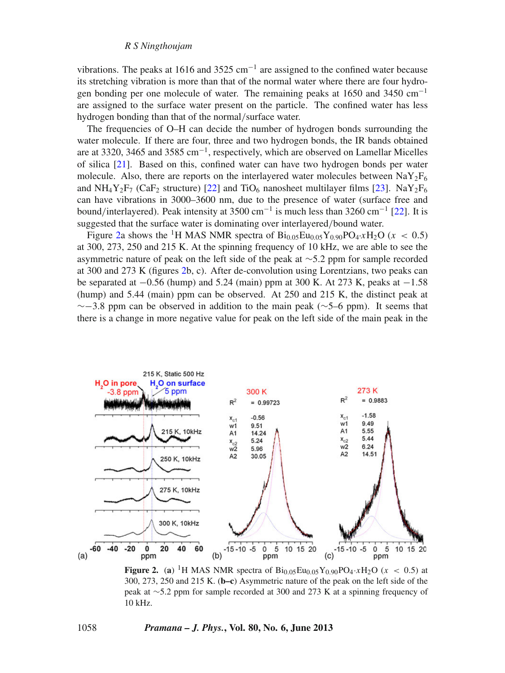#### *R S Ningthoujam*

vibrations. The peaks at 1616 and 3525 cm<sup>-1</sup> are assigned to the confined water because its stretching vibration is more than that of the normal water where there are four hydrogen bonding per one molecule of water. The remaining peaks at 1650 and 3450 cm−<sup>1</sup> are assigned to the surface water present on the particle. The confined water has less hydrogen bonding than that of the normal/surface water.

The frequencies of O–H can decide the number of hydrogen bonds surrounding the water molecule. If there are four, three and two hydrogen bonds, the IR bands obtained are at 3320, 3465 and 3585 cm<sup>−</sup>1, respectively, which are observed on Lamellar Micelles of silica [\[21\]](#page-9-11). Based on this, confined water can have two hydrogen bonds per water molecule. Also, there are reports on the interlayered water molecules between  $\text{NaY}_2\text{F}_6$ and NH<sub>4</sub>Y<sub>2</sub>F<sub>7</sub> (CaF<sub>2</sub> structure) [\[22](#page-9-12)] and TiO<sub>6</sub> nanosheet multilayer films [\[23](#page-9-13)]. NaY<sub>2</sub>F<sub>6</sub> can have vibrations in 3000–3600 nm, due to the presence of water (surface free and bound/interlayered). Peak intensity at 3500 cm<sup>-1</sup> is much less than 3260 cm<sup>-1</sup> [\[22](#page-9-12)]. It is suggested that the surface water is dominating over interlayered/bound water.

Figure [2a](#page-3-0) shows the <sup>1</sup>H MAS NMR spectra of  $Bi_{0.05}Eu_{0.05}Y_{0.90}PO_4 \tcdot xH_2O$  ( $x < 0.5$ ) at 300, 273, 250 and 215 K. At the spinning frequency of 10 kHz, we are able to see the asymmetric nature of peak on the left side of the peak at ∼5.2 ppm for sample recorded at 300 and 273 K (figures [2b](#page-3-0), c). After de-convolution using Lorentzians, two peaks can be separated at −0.56 (hump) and 5.24 (main) ppm at 300 K. At 273 K, peaks at −1.58 (hump) and 5.44 (main) ppm can be observed. At 250 and 215 K, the distinct peak at  $\sim$ −3.8 ppm can be observed in addition to the main peak ( $\sim$ 5–6 ppm). It seems that there is a change in more negative value for peak on the left side of the main peak in the

<span id="page-3-0"></span>

**Figure 2.** (a) <sup>1</sup>H MAS NMR spectra of  $\text{Bi}_{0.05}\text{Eu}_{0.05}\text{Y}_{0.90}\text{PO}_4 \cdot x\text{H}_2\text{O}$  ( $x < 0.5$ ) at 300, 273, 250 and 215 K. (**b–c**) Asymmetric nature of the peak on the left side of the peak at ∼5.2 ppm for sample recorded at 300 and 273 K at a spinning frequency of 10 kHz.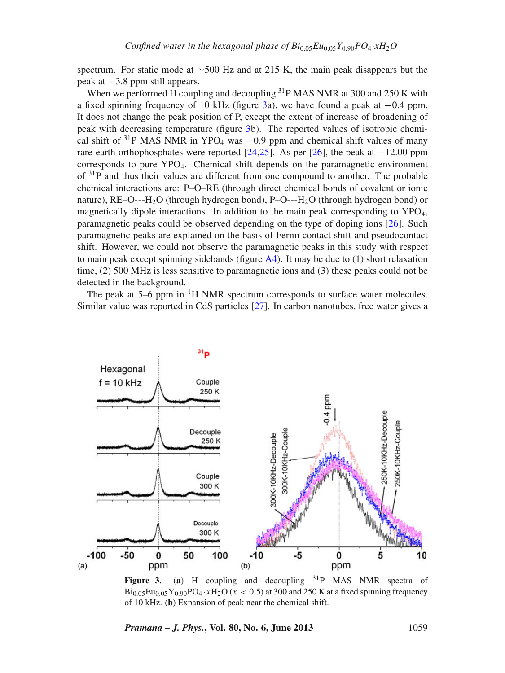spectrum. For static mode at ∼500 Hz and at 215 K, the main peak disappears but the peak at −3.8 ppm still appears.

When we performed  $\overline{H}$  coupling and decoupling  $31P$  MAS NMR at 300 and 250 K with a fixed spinning frequency of 10 kHz (figure [3a](#page-4-0)), we have found a peak at −0.4 ppm. It does not change the peak position of P, except the extent of increase of broadening of peak with decreasing temperature (figure [3b](#page-4-0)). The reported values of isotropic chemical shift of <sup>31</sup>P MAS NMR in YPO<sub>4</sub> was  $-0.9$  ppm and chemical shift values of many rare-earth orthophosphates were reported [\[24](#page-9-14)[,25](#page-9-15)]. As per [\[26](#page-9-16)], the peak at  $-12.00$  ppm corresponds to pure YPO4. Chemical shift depends on the paramagnetic environment of  $3^{1}P$  and thus their values are different from one compound to another. The probable chemical interactions are: P–O–RE (through direct chemical bonds of covalent or ionic nature),  $RE-O--H<sub>2</sub>O$  (through hydrogen bond),  $P-O--H<sub>2</sub>O$  (through hydrogen bond) or magnetically dipole interactions. In addition to the main peak corresponding to YPO<sub>4</sub>, paramagnetic peaks could be observed depending on the type of doping ions [\[26](#page-9-16)]. Such paramagnetic peaks are explained on the basis of Fermi contact shift and pseudocontact shift. However, we could not observe the paramagnetic peaks in this study with respect to main peak except spinning sidebands (figure  $A4$ ). It may be due to (1) short relaxation time, (2) 500 MHz is less sensitive to paramagnetic ions and (3) these peaks could not be detected in the background.

The peak at  $5-6$  ppm in  $\mathrm{^{1}H}$  NMR spectrum corresponds to surface water molecules. Similar value was reported in CdS particles [\[27](#page-9-17)]. In carbon nanotubes, free water gives a

<span id="page-4-0"></span>

**Figure 3.** (a) H coupling and decoupling  $31P$  MAS NMR spectra of  $Bi_{0.05}Eu_{0.05}Y_{0.90}PO_4 \tcdot xH_2O (x < 0.5)$  at 300 and 250 K at a fixed spinning frequency of 10 kHz. (**b**) Expansion of peak near the chemical shift.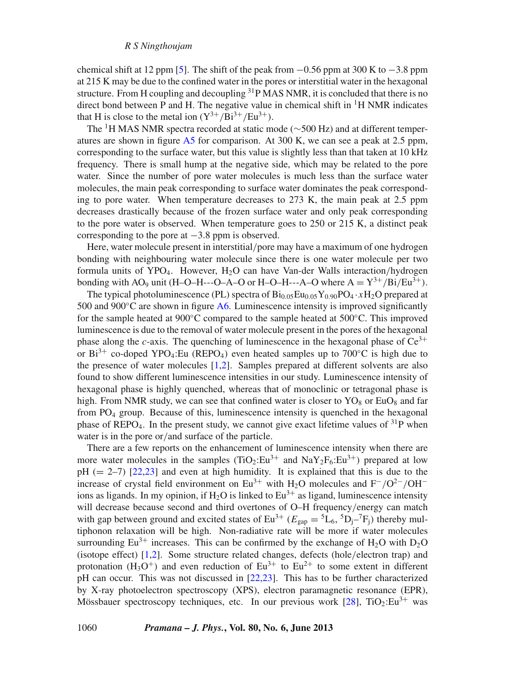chemical shift at 12 ppm [\[5\]](#page-9-7). The shift of the peak from  $-0.56$  ppm at 300 K to  $-3.8$  ppm at 215 K may be due to the confined water in the pores or interstitial water in the hexagonal structure. From H coupling and decoupling <sup>31</sup>P MAS NMR, it is concluded that there is no direct bond between P and H. The negative value in chemical shift in  ${}^{1}H$  NMR indicates that H is close to the metal ion  $(Y^{3+}/Bi^{3+}/Eu^{3+})$ .

The <sup>1</sup>H MAS NMR spectra recorded at static mode (∼500 Hz) and at different temperatures are shown in figure [A5](#page-8-0) for comparison. At 300 K, we can see a peak at 2.5 ppm, corresponding to the surface water, but this value is slightly less than that taken at 10 kHz frequency. There is small hump at the negative side, which may be related to the pore water. Since the number of pore water molecules is much less than the surface water molecules, the main peak corresponding to surface water dominates the peak corresponding to pore water. When temperature decreases to 273 K, the main peak at 2.5 ppm decreases drastically because of the frozen surface water and only peak corresponding to the pore water is observed. When temperature goes to 250 or 215 K, a distinct peak corresponding to the pore at  $-3.8$  ppm is observed.

Here, water molecule present in interstitial/pore may have a maximum of one hydrogen bonding with neighbouring water molecule since there is one water molecule per two formula units of YPO<sub>4</sub>. However, H<sub>2</sub>O can have Van-der Walls interaction/hydrogen bonding with AO<sub>9</sub> unit (H–O–H–--O–A–O or H–O–H–--A–O where  $A = Y^{3+}/Bi/Eu^{3+}$ ).

The typical photoluminescence (PL) spectra of  $\text{Bi}_{0.05}\text{Eu}_{0.05}\text{Y}_{0.90}\text{PO}_4 \cdot x\text{H}_2\text{O}$  prepared at 500 and 900 $\degree$ C are shown in figure [A6.](#page-8-1) Luminescence intensity is improved significantly for the sample heated at 900◦C compared to the sample heated at 500◦C. This improved luminescence is due to the removal of water molecule present in the pores of the hexagonal phase along the *c*-axis. The quenching of luminescence in the hexagonal phase of  $Ce^{3+}$ or Bi<sup>3+</sup> co-doped YPO<sub>4</sub>:Eu (REPO<sub>4</sub>) even heated samples up to 700<sup>°</sup>C is high due to the presence of water molecules [\[1](#page-9-0)[,2\]](#page-9-1). Samples prepared at different solvents are also found to show different luminescence intensities in our study. Luminescence intensity of hexagonal phase is highly quenched, whereas that of monoclinic or tetragonal phase is high. From NMR study, we can see that confined water is closer to  $YO_8$  or EuO<sub>8</sub> and far from  $PO_4$  group. Because of this, luminescence intensity is quenched in the hexagonal phase of REPO<sub>4</sub>. In the present study, we cannot give exact lifetime values of  $3^{1}P$  when water is in the pore or/and surface of the particle.

There are a few reports on the enhancement of luminescence intensity when there are more water molecules in the samples  $(TiO_2:Eu^{3+}$  and  $NaY_2F_6:Eu^{3+}$ ) prepared at low  $pH$  (= 2–7) [\[22](#page-9-12)[,23](#page-9-13)] and even at high humidity. It is explained that this is due to the increase of crystal field environment on Eu<sup>3+</sup> with H<sub>2</sub>O molecules and F<sup>-</sup>/O<sup>2−</sup>/OH<sup>-</sup> ions as ligands. In my opinion, if  $H_2O$  is linked to  $Eu^{3+}$  as ligand, luminescence intensity will decrease because second and third overtones of O–H frequency/energy can match with gap between ground and excited states of  $Eu^{3+}$  ( $E_{\text{gap}} = {}^5L_6$ ,  ${}^5D_1 - {}^7F_1$ ) thereby multiphonon relaxation will be high. Non-radiative rate will be more if water molecules surrounding Eu<sup>3+</sup> increases. This can be confirmed by the exchange of H<sub>2</sub>O with D<sub>2</sub>O (isotope effect) [\[1](#page-9-0)[,2](#page-9-1)]. Some structure related changes, defects (hole/electron trap) and protonation  $(H_3O^+)$  and even reduction of  $Eu^{3+}$  to  $Eu^{2+}$  to some extent in different pH can occur. This was not discussed in [\[22](#page-9-12)[,23](#page-9-13)]. This has to be further characterized by X-ray photoelectron spectroscopy (XPS), electron paramagnetic resonance (EPR), Mössbauer spectroscopy techniques, etc. In our previous work  $[28]$  $[28]$ ,  $TiO<sub>2</sub>:Eu<sup>3+</sup>$  was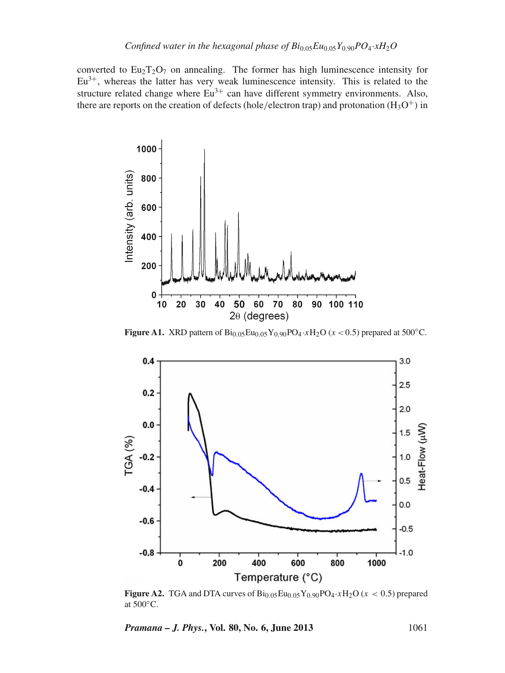converted to  $Eu_2T_2O_7$  on annealing. The former has high luminescence intensity for  $Eu<sup>3+</sup>$ , whereas the latter has very weak luminescence intensity. This is related to the structure related change where  $Eu^{3+}$  can have different symmetry environments. Also, there are reports on the creation of defects (hole/electron trap) and protonation ( $H_3O^+$ ) in

<span id="page-6-0"></span>

**Figure A1.** XRD pattern of  $Bi_{0.05}Eu_{0.05}Y_{0.90}PO_4·xH_2O (x < 0.5)$  prepared at 500°C.

<span id="page-6-1"></span>

**Figure A2.** TGA and DTA curves of  $\text{Bi}_{0.05}\text{Eu}_{0.05}\text{Y}_{0.90}\text{PO}_4 \cdot x\text{H}_2\text{O}$  ( $x < 0.5$ ) prepared at 500◦C.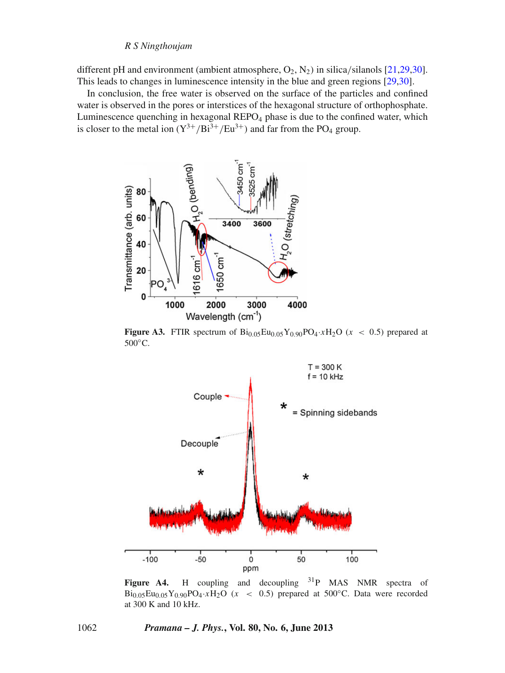#### *R S Ningthoujam*

different pH and environment (ambient atmosphere,  $O_2$ ,  $N_2$ ) in silica/silanols [\[21](#page-9-11)[,29](#page-9-19)[,30](#page-9-20)]. This leads to changes in luminescence intensity in the blue and green regions [\[29](#page-9-19)[,30](#page-9-20)].

In conclusion, the free water is observed on the surface of the particles and confined water is observed in the pores or interstices of the hexagonal structure of orthophosphate. Luminescence quenching in hexagonal  $REPO<sub>4</sub>$  phase is due to the confined water, which is closer to the metal ion  $(Y^{3+}/Bi^{3+}/Eu^{3+})$  and far from the PO<sub>4</sub> group.

<span id="page-7-0"></span>

**Figure A3.** FTIR spectrum of  $Bi_{0.05}Eu_{0.05}Y_{0.90}PO_4 \tcdot xH_2O$  ( $x < 0.5$ ) prepared at 500◦C.

<span id="page-7-1"></span>

Figure A4. H coupling and decoupling <sup>31</sup>P MAS NMR spectra of  $Bi_{0.05}Eu_{0.05}Y_{0.90}PO_4 \cdot xH_2O$  ( $x < 0.5$ ) prepared at 500°C. Data were recorded at 300 K and 10 kHz.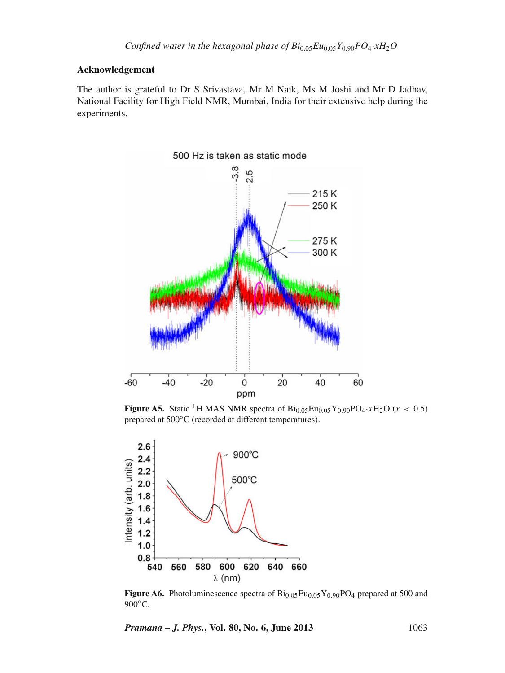### **Acknowledgement**

The author is grateful to Dr S Srivastava, Mr M Naik, Ms M Joshi and Mr D Jadhav, National Facility for High Field NMR, Mumbai, India for their extensive help during the experiments.

<span id="page-8-0"></span>

**Figure A5.** Static <sup>1</sup>H MAS NMR spectra of  $Bi_{0.05}Eu_{0.05}Y_{0.90}PO_4 \tcdot xH_2O$  ( $x < 0.5$ ) prepared at 500◦C (recorded at different temperatures).

<span id="page-8-1"></span>

**Figure A6.** Photoluminescence spectra of  $Bi_{0.05}Eu_{0.05}Y_{0.90}PO_4$  prepared at 500 and 900°C.